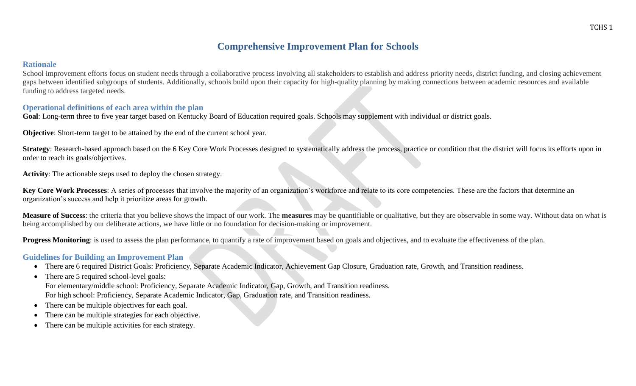## **Comprehensive Improvement Plan for Schools**

#### **Rationale**

School improvement efforts focus on student needs through a collaborative process involving all stakeholders to establish and address priority needs, district funding, and closing achievement gaps between identified subgroups of students. Additionally, schools build upon their capacity for high-quality planning by making connections between academic resources and available funding to address targeted needs.

#### **Operational definitions of each area within the plan**

Goal: Long-term three to five year target based on Kentucky Board of Education required goals. Schools may supplement with individual or district goals.

**Objective**: Short-term target to be attained by the end of the current school year.

**Strategy**: Research-based approach based on the 6 Key Core Work Processes designed to systematically address the process, practice or condition that the district will focus its efforts upon in order to reach its goals/objectives.

**Activity**: The actionable steps used to deploy the chosen strategy.

**Key Core Work Processes**: A series of processes that involve the majority of an organization's workforce and relate to its core competencies. These are the factors that determine an organization's success and help it prioritize areas for growth.

**Measure of Success**: the criteria that you believe shows the impact of our work. The **measures** may be quantifiable or qualitative, but they are observable in some way. Without data on what is being accomplished by our deliberate actions, we have little or no foundation for decision-making or improvement.

**Progress Monitoring**: is used to assess the plan performance, to quantify a rate of improvement based on goals and objectives, and to evaluate the effectiveness of the plan.

#### **Guidelines for Building an Improvement Plan**

- There are 6 required District Goals: Proficiency, Separate Academic Indicator, Achievement Gap Closure, Graduation rate, Growth, and Transition readiness.
- There are 5 required school-level goals: For elementary/middle school: Proficiency, Separate Academic Indicator, Gap, Growth, and Transition readiness. For high school: Proficiency, Separate Academic Indicator, Gap, Graduation rate, and Transition readiness.
- There can be multiple objectives for each goal.
- There can be multiple strategies for each objective.
- There can be multiple activities for each strategy.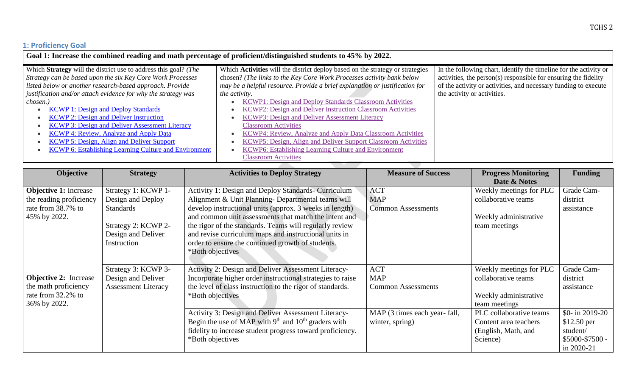# **1: Proficiency Goal**

| Goal 1: Increase the combined reading and math percentage of proficient/distinguished students to 45% by 2022.                                                                                                                                                                                                                 |                                                                                                                                                                                                                                                                                                                                                                                                                                    |                                                                                                                                                                                                                                        |  |  |  |
|--------------------------------------------------------------------------------------------------------------------------------------------------------------------------------------------------------------------------------------------------------------------------------------------------------------------------------|------------------------------------------------------------------------------------------------------------------------------------------------------------------------------------------------------------------------------------------------------------------------------------------------------------------------------------------------------------------------------------------------------------------------------------|----------------------------------------------------------------------------------------------------------------------------------------------------------------------------------------------------------------------------------------|--|--|--|
| Which Strategy will the district use to address this goal? (The<br>Strategy can be based upon the six Key Core Work Processes<br>listed below or another research-based approach. Provide<br>justification and/or attach evidence for why the strategy was                                                                     | Which <b>Activities</b> will the district deploy based on the strategy or strategies<br>chosen? (The links to the Key Core Work Processes activity bank below<br>may be a helpful resource. Provide a brief explanation or justification for<br>the activity.                                                                                                                                                                      | In the following chart, identify the timeline for the activity or<br>activities, the person(s) responsible for ensuring the fidelity<br>of the activity or activities, and necessary funding to execute<br>the activity or activities. |  |  |  |
| chosen.)<br><b>KCWP 1: Design and Deploy Standards</b><br><b>KCWP 2: Design and Deliver Instruction</b><br><b>KCWP 3: Design and Deliver Assessment Literacy</b><br><b>KCWP 4: Review, Analyze and Apply Data</b><br>KCWP 5: Design, Align and Deliver Support<br><b>KCWP 6: Establishing Learning Culture and Environment</b> | KCWP1: Design and Deploy Standards Classroom Activities<br>KCWP2: Design and Deliver Instruction Classroom Activities<br><b>KCWP3: Design and Deliver Assessment Literacy</b><br><b>Classroom Activities</b><br>KCWP4: Review, Analyze and Apply Data Classroom Activities<br>KCWP5: Design, Align and Deliver Support Classroom Activities<br>KCWP6: Establishing Learning Culture and Environment<br><b>Classroom Activities</b> |                                                                                                                                                                                                                                        |  |  |  |

| Objective                    | <b>Strategy</b>            | <b>Activities to Deploy Strategy</b>                       | <b>Measure of Success</b>     | <b>Progress Monitoring</b> | <b>Funding</b>    |
|------------------------------|----------------------------|------------------------------------------------------------|-------------------------------|----------------------------|-------------------|
|                              |                            |                                                            |                               | Date & Notes               |                   |
| <b>Objective 1:</b> Increase | Strategy 1: KCWP 1-        | Activity 1: Design and Deploy Standards- Curriculum        | <b>ACT</b>                    | Weekly meetings for PLC    | Grade Cam-        |
| the reading proficiency      | Design and Deploy          | Alignment & Unit Planning- Departmental teams will         | <b>MAP</b>                    | collaborative teams        | district          |
| rate from 38.7% to           | <b>Standards</b>           | develop instructional units (approx. 3 weeks in length)    | <b>Common Assessments</b>     |                            | assistance        |
| 45% by 2022.                 |                            | and common unit assessments that match the intent and      |                               | Weekly administrative      |                   |
|                              | Strategy 2: KCWP 2-        | the rigor of the standards. Teams will regularly review    |                               | team meetings              |                   |
|                              | Design and Deliver         | and revise curriculum maps and instructional units in      |                               |                            |                   |
|                              | Instruction                | order to ensure the continued growth of students.          |                               |                            |                   |
|                              |                            | *Both objectives                                           |                               |                            |                   |
|                              |                            |                                                            |                               |                            |                   |
|                              | Strategy 3: KCWP 3-        | Activity 2: Design and Deliver Assessment Literacy-        | <b>ACT</b>                    | Weekly meetings for PLC    | Grade Cam-        |
| <b>Objective 2:</b> Increase | Design and Deliver         | Incorporate higher order instructional strategies to raise | <b>MAP</b>                    | collaborative teams        | district          |
| the math proficiency         | <b>Assessment Literacy</b> | the level of class instruction to the rigor of standards.  | <b>Common Assessments</b>     |                            | assistance        |
| rate from 32.2% to           |                            | *Both objectives                                           |                               | Weekly administrative      |                   |
| 36% by 2022.                 |                            |                                                            |                               | team meetings              |                   |
|                              |                            | Activity 3: Design and Deliver Assessment Literacy-        | MAP (3 times each year- fall, | PLC collaborative teams    | \$0- in 2019-20   |
|                              |                            | Begin the use of MAP with $9th$ and $10th$ graders with    | winter, spring)               | Content area teachers      | $$12.50$ per      |
|                              |                            | fidelity to increase student progress toward proficiency.  |                               | (English, Math, and        | student/          |
|                              |                            | *Both objectives                                           |                               | Science)                   | $$5000 - $7500 -$ |
|                              |                            |                                                            |                               |                            | in 2020-21        |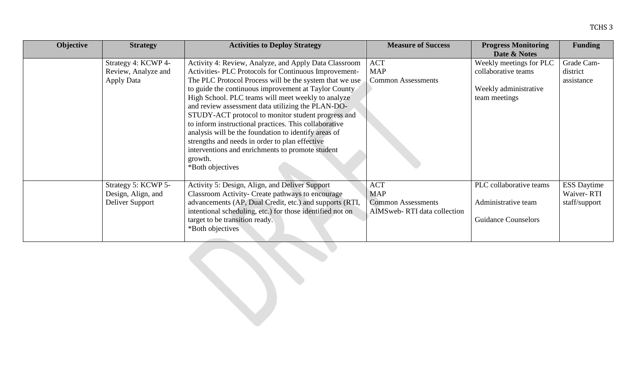| Objective | <b>Strategy</b>     | <b>Activities to Deploy Strategy</b>                      | <b>Measure of Success</b>    | <b>Progress Monitoring</b> | <b>Funding</b>     |
|-----------|---------------------|-----------------------------------------------------------|------------------------------|----------------------------|--------------------|
|           |                     |                                                           |                              | Date & Notes               |                    |
|           | Strategy 4: KCWP 4- | Activity 4: Review, Analyze, and Apply Data Classroom     | <b>ACT</b>                   | Weekly meetings for PLC    | Grade Cam-         |
|           | Review, Analyze and | Activities- PLC Protocols for Continuous Improvement-     | <b>MAP</b>                   | collaborative teams        | district           |
|           | <b>Apply Data</b>   | The PLC Protocol Process will be the system that we use   | <b>Common Assessments</b>    |                            | assistance         |
|           |                     | to guide the continuous improvement at Taylor County      |                              | Weekly administrative      |                    |
|           |                     | High School. PLC teams will meet weekly to analyze        |                              | team meetings              |                    |
|           |                     | and review assessment data utilizing the PLAN-DO-         |                              |                            |                    |
|           |                     | STUDY-ACT protocol to monitor student progress and        |                              |                            |                    |
|           |                     | to inform instructional practices. This collaborative     |                              |                            |                    |
|           |                     | analysis will be the foundation to identify areas of      |                              |                            |                    |
|           |                     | strengths and needs in order to plan effective            |                              |                            |                    |
|           |                     | interventions and enrichments to promote student          |                              |                            |                    |
|           |                     | growth.                                                   |                              |                            |                    |
|           |                     | *Both objectives                                          |                              |                            |                    |
|           |                     |                                                           |                              |                            |                    |
|           | Strategy 5: KCWP 5- | Activity 5: Design, Align, and Deliver Support            | <b>ACT</b>                   | PLC collaborative teams    | <b>ESS Daytime</b> |
|           | Design, Align, and  | Classroom Activity- Create pathways to encourage          | <b>MAP</b>                   |                            | Waiver-RTI         |
|           | Deliver Support     | advancements (AP, Dual Credit, etc.) and supports (RTI,   | <b>Common Assessments</b>    | Administrative team        | staff/support      |
|           |                     | intentional scheduling, etc.) for those identified not on | AIMS web-RTI data collection |                            |                    |
|           |                     | target to be transition ready.                            |                              | <b>Guidance Counselors</b> |                    |
|           |                     | *Both objectives                                          |                              |                            |                    |
|           |                     |                                                           |                              |                            |                    |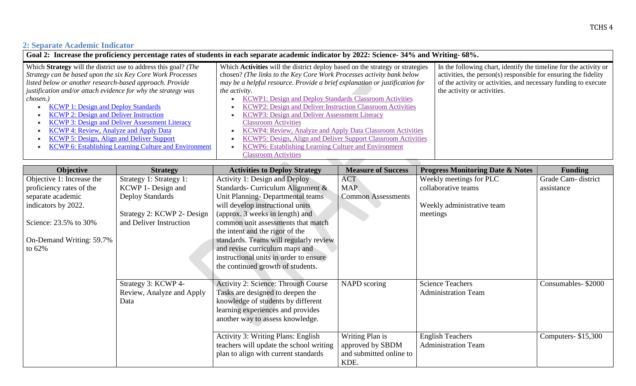# **2: Separate Academic Indicator**

| Goal 2: Increase the proficiency percentage rates of students in each separate academic indicator by 2022: Science- 34% and Writing- 68%.                                                                                                                                                                                                                                                                                                                                                                                                                                                           |                                                                                                                                                                                                                                                                                                                                                                                                                                                                                                                                                                                                                                                                      |                                                                                                                                                                                                                                        |  |  |  |
|-----------------------------------------------------------------------------------------------------------------------------------------------------------------------------------------------------------------------------------------------------------------------------------------------------------------------------------------------------------------------------------------------------------------------------------------------------------------------------------------------------------------------------------------------------------------------------------------------------|----------------------------------------------------------------------------------------------------------------------------------------------------------------------------------------------------------------------------------------------------------------------------------------------------------------------------------------------------------------------------------------------------------------------------------------------------------------------------------------------------------------------------------------------------------------------------------------------------------------------------------------------------------------------|----------------------------------------------------------------------------------------------------------------------------------------------------------------------------------------------------------------------------------------|--|--|--|
| Which Strategy will the district use to address this goal? (The<br>Strategy can be based upon the six Key Core Work Processes<br>listed below or another research-based approach. Provide<br>justification and/or attach evidence for why the strategy was<br>chosen.)<br><b>KCWP 1: Design and Deploy Standards</b><br><b>KCWP 2: Design and Deliver Instruction</b><br><b>KCWP 3: Design and Deliver Assessment Literacy</b><br><b>KCWP 4: Review, Analyze and Apply Data</b><br><b>KCWP 5: Design, Align and Deliver Support</b><br><b>KCWP 6: Establishing Learning Culture and Environment</b> | Which Activities will the district deploy based on the strategy or strategies<br>chosen? (The links to the Key Core Work Processes activity bank below<br>may be a helpful resource. Provide a brief explanation or justification for<br><i>the activity.</i><br>KCWP1: Design and Deploy Standards Classroom Activities<br>KCWP2: Design and Deliver Instruction Classroom Activities<br>KCWP3: Design and Deliver Assessment Literacy<br><b>Classroom Activities</b><br>KCWP4: Review, Analyze and Apply Data Classroom Activities<br>KCWP5: Design, Align and Deliver Support Classroom Activities<br><b>KCWP6: Establishing Learning Culture and Environment</b> | In the following chart, identify the timeline for the activity or<br>activities, the person(s) responsible for ensuring the fidelity<br>of the activity or activities, and necessary funding to execute<br>the activity or activities. |  |  |  |
|                                                                                                                                                                                                                                                                                                                                                                                                                                                                                                                                                                                                     | <b>Classroom Activities</b>                                                                                                                                                                                                                                                                                                                                                                                                                                                                                                                                                                                                                                          |                                                                                                                                                                                                                                        |  |  |  |

| Objective                 | <b>Strategy</b>            | <b>Activities to Deploy Strategy</b>       | <b>Measure of Success</b> | <b>Progress Monitoring Date &amp; Notes</b> | <b>Funding</b>     |
|---------------------------|----------------------------|--------------------------------------------|---------------------------|---------------------------------------------|--------------------|
| Objective 1: Increase the | Strategy 1: Strategy 1:    | Activity 1: Design and Deploy              | <b>ACT</b>                | Weekly meetings for PLC                     | Grade Cam-district |
| proficiency rates of the  | KCWP 1- Design and         | Standards- Curriculum Alignment &          | <b>MAP</b>                | collaborative teams                         | assistance         |
| separate academic         | <b>Deploy Standards</b>    | Unit Planning-Departmental teams           | <b>Common Assessments</b> |                                             |                    |
| indicators by 2022.       |                            | will develop instructional units           |                           | Weekly administrative team                  |                    |
|                           | Strategy 2: KCWP 2- Design | (approx. 3 weeks in length) and            |                           | meetings                                    |                    |
| Science: 23.5% to 30%     | and Deliver Instruction    | common unit assessments that match         |                           |                                             |                    |
|                           |                            | the intent and the rigor of the            |                           |                                             |                    |
| On-Demand Writing: 59.7%  |                            | standards. Teams will regularly review     |                           |                                             |                    |
| to $62\%$                 |                            | and revise curriculum maps and             |                           |                                             |                    |
|                           |                            | instructional units in order to ensure     |                           |                                             |                    |
|                           |                            | the continued growth of students.          |                           |                                             |                    |
|                           |                            |                                            |                           |                                             |                    |
|                           | Strategy 3: KCWP 4-        | <b>Activity 2: Science: Through Course</b> | NAPD scoring              | <b>Science Teachers</b>                     | Consumables-\$2000 |
|                           | Review, Analyze and Apply  | Tasks are designed to deepen the           |                           | <b>Administration Team</b>                  |                    |
|                           | Data                       | knowledge of students by different         |                           |                                             |                    |
|                           |                            | learning experiences and provides          |                           |                                             |                    |
|                           |                            | another way to assess knowledge.           |                           |                                             |                    |
|                           |                            |                                            |                           |                                             |                    |
|                           |                            | <b>Activity 3: Writing Plans: English</b>  | Writing Plan is           | <b>English Teachers</b>                     | Computers-\$15,300 |
|                           |                            | teachers will update the school writing    | approved by SBDM          | <b>Administration Team</b>                  |                    |
|                           |                            | plan to align with current standards       | and submitted online to   |                                             |                    |
|                           |                            |                                            | KDE.                      |                                             |                    |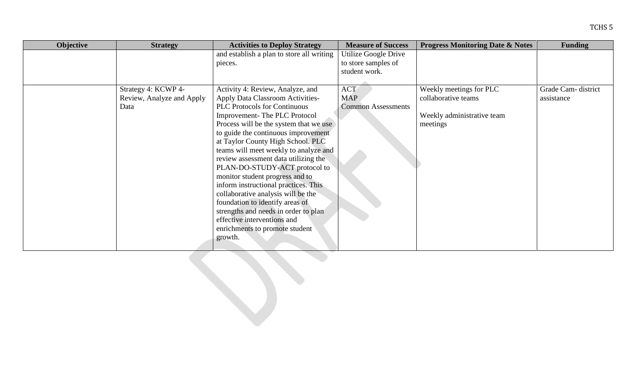| Objective | <b>Strategy</b>           | <b>Activities to Deploy Strategy</b>      | <b>Measure of Success</b> | <b>Progress Monitoring Date &amp; Notes</b> | <b>Funding</b>     |
|-----------|---------------------------|-------------------------------------------|---------------------------|---------------------------------------------|--------------------|
|           |                           | and establish a plan to store all writing | Utilize Google Drive      |                                             |                    |
|           |                           | pieces.                                   | to store samples of       |                                             |                    |
|           |                           |                                           | student work.             |                                             |                    |
|           |                           |                                           |                           |                                             |                    |
|           | Strategy 4: KCWP 4-       | Activity 4: Review, Analyze, and          | <b>ACT</b>                | Weekly meetings for PLC                     | Grade Cam-district |
|           | Review, Analyze and Apply | <b>Apply Data Classroom Activities-</b>   | <b>MAP</b>                | collaborative teams                         | assistance         |
|           | Data                      | <b>PLC Protocols for Continuous</b>       | <b>Common Assessments</b> |                                             |                    |
|           |                           | Improvement-The PLC Protocol              |                           | Weekly administrative team                  |                    |
|           |                           | Process will be the system that we use    |                           | meetings                                    |                    |
|           |                           | to guide the continuous improvement       |                           |                                             |                    |
|           |                           | at Taylor County High School. PLC         |                           |                                             |                    |
|           |                           | teams will meet weekly to analyze and     |                           |                                             |                    |
|           |                           | review assessment data utilizing the      |                           |                                             |                    |
|           |                           | PLAN-DO-STUDY-ACT protocol to             |                           |                                             |                    |
|           |                           | monitor student progress and to           |                           |                                             |                    |
|           |                           | inform instructional practices. This      |                           |                                             |                    |
|           |                           | collaborative analysis will be the        |                           |                                             |                    |
|           |                           | foundation to identify areas of           |                           |                                             |                    |
|           |                           | strengths and needs in order to plan      |                           |                                             |                    |
|           |                           | effective interventions and               |                           |                                             |                    |
|           |                           | enrichments to promote student            |                           |                                             |                    |
|           |                           | growth.                                   |                           |                                             |                    |
|           |                           |                                           |                           |                                             |                    |

TCHS 5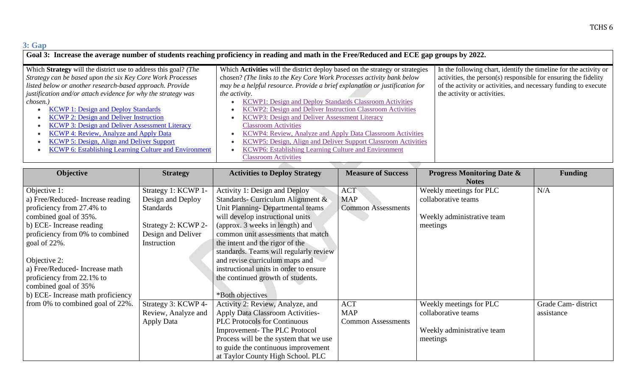### **3: Gap**

| Goal 3: Increase the average number of students reaching proficiency in reading and math in the Free/Reduced and ECE gap groups by 2022.                                                  |                                                                                                                                                                                                                                       |                                                                                                                                                                                                         |  |  |  |
|-------------------------------------------------------------------------------------------------------------------------------------------------------------------------------------------|---------------------------------------------------------------------------------------------------------------------------------------------------------------------------------------------------------------------------------------|---------------------------------------------------------------------------------------------------------------------------------------------------------------------------------------------------------|--|--|--|
| Which Strategy will the district use to address this goal? (The<br>Strategy can be based upon the six Key Core Work Processes<br>listed below or another research-based approach. Provide | Which Activities will the district deploy based on the strategy or strategies<br>chosen? (The links to the Key Core Work Processes activity bank below<br>may be a helpful resource. Provide a brief explanation or justification for | In the following chart, identify the timeline for the activity or<br>activities, the person(s) responsible for ensuring the fidelity<br>of the activity or activities, and necessary funding to execute |  |  |  |
| justification and/or attach evidence for why the strategy was<br>chosen.)<br><b>KCWP 1: Design and Deploy Standards</b>                                                                   | <i>the activity.</i><br>KCWP1: Design and Deploy Standards Classroom Activities<br>KCWP2: Design and Deliver Instruction Classroom Activities                                                                                         | the activity or activities.                                                                                                                                                                             |  |  |  |
| <b>KCWP 2: Design and Deliver Instruction</b><br><b>KCWP 3: Design and Deliver Assessment Literacy</b><br><b>KCWP 4: Review, Analyze and Apply Data</b>                                   | <b>KCWP3: Design and Deliver Assessment Literacy</b><br><b>Classroom Activities</b><br>KCWP4: Review, Analyze and Apply Data Classroom Activities                                                                                     |                                                                                                                                                                                                         |  |  |  |
| KCWP 5: Design, Align and Deliver Support<br><b>KCWP 6: Establishing Learning Culture and Environment</b>                                                                                 | KCWP5: Design, Align and Deliver Support Classroom Activities<br>KCWP6: Establishing Learning Culture and Environment<br><b>Classroom Activities</b>                                                                                  |                                                                                                                                                                                                         |  |  |  |

| <b>Objective</b>                  | <b>Strategy</b>     | <b>Activities to Deploy Strategy</b>    | <b>Measure of Success</b> | <b>Progress Monitoring Date &amp;</b> | <b>Funding</b>     |
|-----------------------------------|---------------------|-----------------------------------------|---------------------------|---------------------------------------|--------------------|
|                                   |                     |                                         |                           | <b>Notes</b>                          |                    |
| Objective 1:                      | Strategy 1: KCWP 1- | Activity 1: Design and Deploy           | <b>ACT</b>                | Weekly meetings for PLC               | N/A                |
| a) Free/Reduced-Increase reading  | Design and Deploy   | Standards- Curriculum Alignment &       | <b>MAP</b>                | collaborative teams                   |                    |
| proficiency from 27.4% to         | <b>Standards</b>    | Unit Planning-Departmental teams        | <b>Common Assessments</b> |                                       |                    |
| combined goal of 35%.             |                     | will develop instructional units        |                           | Weekly administrative team            |                    |
| b) ECE-Increase reading           | Strategy 2: KCWP 2- | (approx. 3 weeks in length) and         |                           | meetings                              |                    |
| proficiency from 0% to combined   | Design and Deliver  | common unit assessments that match      |                           |                                       |                    |
| goal of $22\%$ .                  | Instruction         | the intent and the rigor of the         |                           |                                       |                    |
|                                   |                     | standards. Teams will regularly review  |                           |                                       |                    |
| Objective 2:                      |                     | and revise curriculum maps and          |                           |                                       |                    |
| a) Free/Reduced-Increase math     |                     | instructional units in order to ensure  |                           |                                       |                    |
| proficiency from 22.1% to         |                     | the continued growth of students.       |                           |                                       |                    |
| combined goal of 35%              |                     |                                         |                           |                                       |                    |
| b) ECE- Increase math proficiency |                     | *Both objectives                        |                           |                                       |                    |
| from 0% to combined goal of 22%.  | Strategy 3: KCWP 4- | Activity 2: Review, Analyze, and        | <b>ACT</b>                | Weekly meetings for PLC               | Grade Cam-district |
|                                   | Review, Analyze and | <b>Apply Data Classroom Activities-</b> | <b>MAP</b>                | collaborative teams                   | assistance         |
|                                   | Apply Data          | <b>PLC Protocols for Continuous</b>     | <b>Common Assessments</b> |                                       |                    |
|                                   |                     | Improvement-The PLC Protocol            |                           | Weekly administrative team            |                    |
|                                   |                     | Process will be the system that we use  |                           | meetings                              |                    |
|                                   |                     | to guide the continuous improvement     |                           |                                       |                    |
|                                   |                     | at Taylor County High School. PLC       |                           |                                       |                    |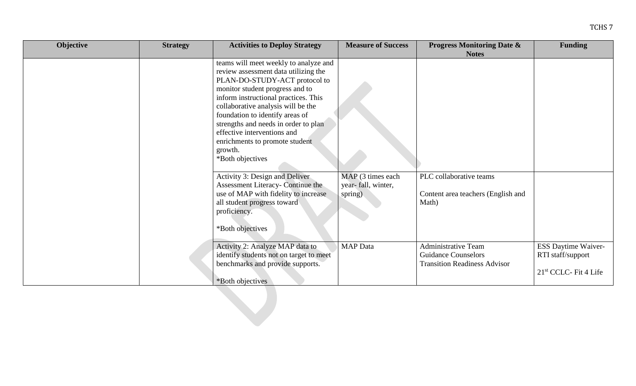| M.<br>۰.<br>۰, |  |
|----------------|--|
|----------------|--|

| Objective | <b>Strategy</b> | <b>Activities to Deploy Strategy</b>                                                                                                                                                                                                                                                                                                                                                                       | <b>Measure of Success</b>      | <b>Progress Monitoring Date &amp;</b><br><b>Notes</b>                                           | <b>Funding</b>                                                                |
|-----------|-----------------|------------------------------------------------------------------------------------------------------------------------------------------------------------------------------------------------------------------------------------------------------------------------------------------------------------------------------------------------------------------------------------------------------------|--------------------------------|-------------------------------------------------------------------------------------------------|-------------------------------------------------------------------------------|
|           |                 | teams will meet weekly to analyze and<br>review assessment data utilizing the<br>PLAN-DO-STUDY-ACT protocol to<br>monitor student progress and to<br>inform instructional practices. This<br>collaborative analysis will be the<br>foundation to identify areas of<br>strengths and needs in order to plan<br>effective interventions and<br>enrichments to promote student<br>growth.<br>*Both objectives | MAP (3 times each              | PLC collaborative teams                                                                         |                                                                               |
|           |                 | Activity 3: Design and Deliver<br>Assessment Literacy- Continue the<br>use of MAP with fidelity to increase<br>all student progress toward<br>proficiency.<br>*Both objectives                                                                                                                                                                                                                             | year- fall, winter,<br>spring) | Content area teachers (English and<br>Math)                                                     |                                                                               |
|           |                 | Activity 2: Analyze MAP data to<br>identify students not on target to meet<br>benchmarks and provide supports.<br>*Both objectives                                                                                                                                                                                                                                                                         | <b>MAP</b> Data                | <b>Administrative Team</b><br><b>Guidance Counselors</b><br><b>Transition Readiness Advisor</b> | ESS Daytime Waiver-<br>RTI staff/support<br>21 <sup>st</sup> CCLC- Fit 4 Life |
|           |                 |                                                                                                                                                                                                                                                                                                                                                                                                            |                                |                                                                                                 |                                                                               |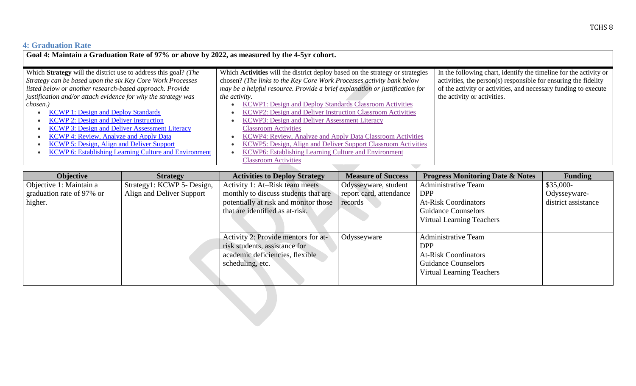## **4: Graduation Rate**

| Goal 4: Maintain a Graduation Rate of 97% or above by 2022, as measured by the 4-5yr cohort.                                                                                                                                                                                                                                                                                                                                                                                                                                                                                                 |                                                                                                                                                                                                                                                                                                                                                                                                                                                                                                                                                                                                                                                                             |                                                                                                                                                                                                                                        |  |  |  |  |
|----------------------------------------------------------------------------------------------------------------------------------------------------------------------------------------------------------------------------------------------------------------------------------------------------------------------------------------------------------------------------------------------------------------------------------------------------------------------------------------------------------------------------------------------------------------------------------------------|-----------------------------------------------------------------------------------------------------------------------------------------------------------------------------------------------------------------------------------------------------------------------------------------------------------------------------------------------------------------------------------------------------------------------------------------------------------------------------------------------------------------------------------------------------------------------------------------------------------------------------------------------------------------------------|----------------------------------------------------------------------------------------------------------------------------------------------------------------------------------------------------------------------------------------|--|--|--|--|
| Which Strategy will the district use to address this goal? (The<br>Strategy can be based upon the six Key Core Work Processes<br>listed below or another research-based approach. Provide<br>justification and/or attach evidence for why the strategy was<br>chosen.)<br><b>KCWP 1: Design and Deploy Standards</b><br><b>KCWP 2: Design and Deliver Instruction</b><br><b>KCWP 3: Design and Deliver Assessment Literacy</b><br><b>KCWP 4: Review, Analyze and Apply Data</b><br>KCWP 5: Design, Align and Deliver Support<br><b>KCWP 6: Establishing Learning Culture and Environment</b> | Which Activities will the district deploy based on the strategy or strategies<br>chosen? (The links to the Key Core Work Processes activity bank below<br>may be a helpful resource. Provide a brief explanation or justification for<br><i>the activity.</i><br>KCWP1: Design and Deploy Standards Classroom Activities<br>KCWP2: Design and Deliver Instruction Classroom Activities<br>KCWP3: Design and Deliver Assessment Literacy<br><b>Classroom Activities</b><br>KCWP4: Review, Analyze and Apply Data Classroom Activities<br><b>KCWP5: Design, Align and Deliver Support Classroom Activities</b><br><b>KCWP6: Establishing Learning Culture and Environment</b> | In the following chart, identify the timeline for the activity or<br>activities, the person(s) responsible for ensuring the fidelity<br>of the activity or activities, and necessary funding to execute<br>the activity or activities. |  |  |  |  |
|                                                                                                                                                                                                                                                                                                                                                                                                                                                                                                                                                                                              | <b>Classroom Activities</b>                                                                                                                                                                                                                                                                                                                                                                                                                                                                                                                                                                                                                                                 |                                                                                                                                                                                                                                        |  |  |  |  |

| <b>Objective</b>          | <b>Strategy</b>            | <b>Activities to Deploy Strategy</b>  | <b>Measure of Success</b> | <b>Progress Monitoring Date &amp; Notes</b> | <b>Funding</b>      |
|---------------------------|----------------------------|---------------------------------------|---------------------------|---------------------------------------------|---------------------|
| Objective 1: Maintain a   | Strategy1: KCWP 5- Design, | Activity 1: At–Risk team meets        | Odysseyware, student      | <b>Administrative Team</b>                  | $$35,000-$          |
| graduation rate of 97% or | Align and Deliver Support  | monthly to discuss students that are  | report card, attendance   | <b>DPP</b>                                  | Odysseyware-        |
| higher.                   |                            | potentially at risk and monitor those | records                   | <b>At-Risk Coordinators</b>                 | district assistance |
|                           |                            | that are identified as at-risk.       |                           | <b>Guidance Counselors</b>                  |                     |
|                           |                            |                                       |                           | <b>Virtual Learning Teachers</b>            |                     |
|                           |                            |                                       |                           |                                             |                     |
|                           |                            | Activity 2: Provide mentors for at-   | Odysseyware               | Administrative Team                         |                     |
|                           |                            | risk students, assistance for         |                           | <b>DPP</b>                                  |                     |
|                           |                            | academic deficiencies, flexible       |                           | <b>At-Risk Coordinators</b>                 |                     |
|                           |                            | scheduling, etc.                      |                           | <b>Guidance Counselors</b>                  |                     |
|                           |                            |                                       |                           | <b>Virtual Learning Teachers</b>            |                     |
|                           |                            |                                       |                           |                                             |                     |